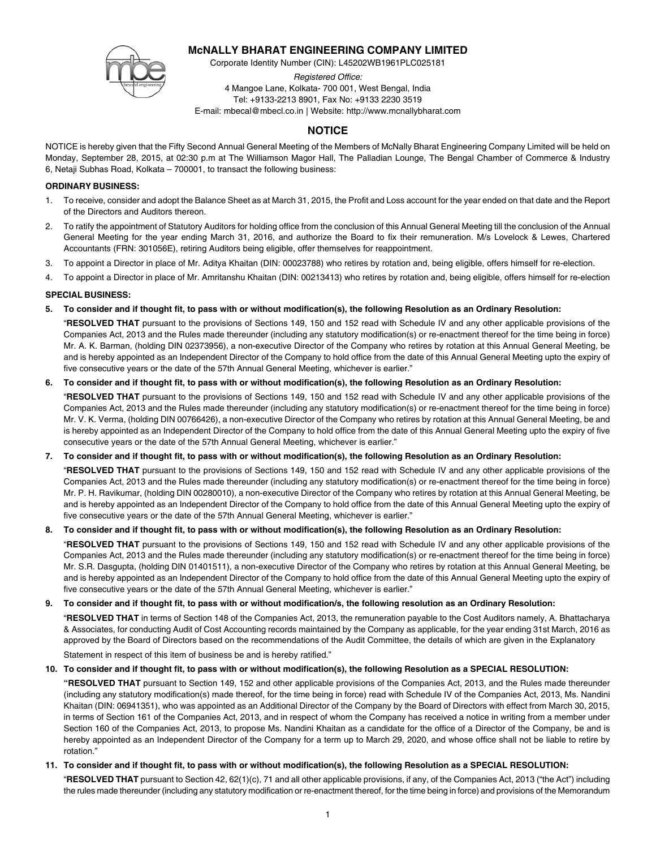# **McNALLY BHARAT ENGINEERING COMPANY LIMITED**

Corporate Identity Number (CIN): L45202WB1961PLC025181



*Registered Office:* 4 Mangoe Lane, Kolkata- 700 001, West Bengal, India Tel: +9133-2213 8901, Fax No: +9133 2230 3519 E-mail: mbecal@mbecl.co.in | Website: http://www.mcnallybharat.com

# **NOTICE**

NOTICE is hereby given that the Fifty Second Annual General Meeting of the Members of McNally Bharat Engineering Company Limited will be held on Monday, September 28, 2015, at 02:30 p.m at The Williamson Magor Hall, The Palladian Lounge, The Bengal Chamber of Commerce & Industry 6, Netaji Subhas Road, Kolkata – 700001, to transact the following business:

# **ORDINARY BUSINESS:**

- 1. To receive, consider and adopt the Balance Sheet as at March 31, 2015, the Profit and Loss account for the year ended on that date and the Report of the Directors and Auditors thereon.
- 2. To ratify the appointment of Statutory Auditors for holding office from the conclusion of this Annual General Meeting till the conclusion of the Annual General Meeting for the year ending March 31, 2016, and authorize the Board to fix their remuneration. M/s Lovelock & Lewes, Chartered Accountants (FRN: 301056E), retiring Auditors being eligible, offer themselves for reappointment.
- 3. To appoint a Director in place of Mr. Aditya Khaitan (DIN: 00023788) who retires by rotation and, being eligible, offers himself for re-election.
- 4. To appoint a Director in place of Mr. Amritanshu Khaitan (DIN: 00213413) who retires by rotation and, being eligible, offers himself for re-election

# **SPECIAL BUSINESS:**

**5. To consider and if thought fit, to pass with or without modification(s), the following Resolution as an Ordinary Resolution:**

"**RESOLVED THAT** pursuant to the provisions of Sections 149, 150 and 152 read with Schedule IV and any other applicable provisions of the Companies Act, 2013 and the Rules made thereunder (including any statutory modification(s) or re-enactment thereof for the time being in force) Mr. A. K. Barman, (holding DIN 02373956), a non-executive Director of the Company who retires by rotation at this Annual General Meeting, be and is hereby appointed as an Independent Director of the Company to hold office from the date of this Annual General Meeting upto the expiry of five consecutive years or the date of the 57th Annual General Meeting, whichever is earlier."

# **6. To consider and if thought fit, to pass with or without modification(s), the following Resolution as an Ordinary Resolution:**

"**RESOLVED THAT** pursuant to the provisions of Sections 149, 150 and 152 read with Schedule IV and any other applicable provisions of the Companies Act, 2013 and the Rules made thereunder (including any statutory modification(s) or re-enactment thereof for the time being in force) Mr. V. K. Verma, (holding DIN 00766426), a non-executive Director of the Company who retires by rotation at this Annual General Meeting, be and is hereby appointed as an Independent Director of the Company to hold office from the date of this Annual General Meeting upto the expiry of five consecutive years or the date of the 57th Annual General Meeting, whichever is earlier."

# **7. To consider and if thought fit, to pass with or without modification(s), the following Resolution as an Ordinary Resolution:**

"**RESOLVED THAT** pursuant to the provisions of Sections 149, 150 and 152 read with Schedule IV and any other applicable provisions of the Companies Act, 2013 and the Rules made thereunder (including any statutory modification(s) or re-enactment thereof for the time being in force) Mr. P. H. Ravikumar, (holding DIN 00280010), a non-executive Director of the Company who retires by rotation at this Annual General Meeting, be and is hereby appointed as an Independent Director of the Company to hold office from the date of this Annual General Meeting upto the expiry of five consecutive years or the date of the 57th Annual General Meeting, whichever is earlier."

# **8. To consider and if thought fit, to pass with or without modification(s), the following Resolution as an Ordinary Resolution:**

"**RESOLVED THAT** pursuant to the provisions of Sections 149, 150 and 152 read with Schedule IV and any other applicable provisions of the Companies Act, 2013 and the Rules made thereunder (including any statutory modification(s) or re-enactment thereof for the time being in force) Mr. S.R. Dasgupta, (holding DIN 01401511), a non-executive Director of the Company who retires by rotation at this Annual General Meeting, be and is hereby appointed as an Independent Director of the Company to hold office from the date of this Annual General Meeting upto the expiry of five consecutive years or the date of the 57th Annual General Meeting, whichever is earlier."

## **9. To consider and if thought fit, to pass with or without modification/s, the following resolution as an Ordinary Resolution:**

"**RESOLVED THAT** in terms of Section 148 of the Companies Act, 2013, the remuneration payable to the Cost Auditors namely, A. Bhattacharya & Associates, for conducting Audit of Cost Accounting records maintained by the Company as applicable, for the year ending 31st March, 2016 as approved by the Board of Directors based on the recommendations of the Audit Committee, the details of which are given in the Explanatory Statement in respect of this item of business be and is hereby ratified."

# **10. To consider and if thought fit, to pass with or without modification(s), the following Resolution as a SPECIAL RESOLUTION:**

**"RESOLVED THAT** pursuant to Section 149, 152 and other applicable provisions of the Companies Act, 2013, and the Rules made thereunder (including any statutory modification(s) made thereof, for the time being in force) read with Schedule IV of the Companies Act, 2013, Ms. Nandini Khaitan (DIN: 06941351), who was appointed as an Additional Director of the Company by the Board of Directors with effect from March 30, 2015, in terms of Section 161 of the Companies Act, 2013, and in respect of whom the Company has received a notice in writing from a member under Section 160 of the Companies Act, 2013, to propose Ms. Nandini Khaitan as a candidate for the office of a Director of the Company, be and is hereby appointed as an Independent Director of the Company for a term up to March 29, 2020, and whose office shall not be liable to retire by rotation."

# **11. To consider and if thought fit, to pass with or without modification(s), the following Resolution as a SPECIAL RESOLUTION:**

"**RESOLVED THAT** pursuant to Section 42, 62(1)(c), 71 and all other applicable provisions, if any, of the Companies Act, 2013 ("the Act") including the rules made thereunder (including any statutory modification or re-enactment thereof, for the time being in force) and provisions of the Memorandum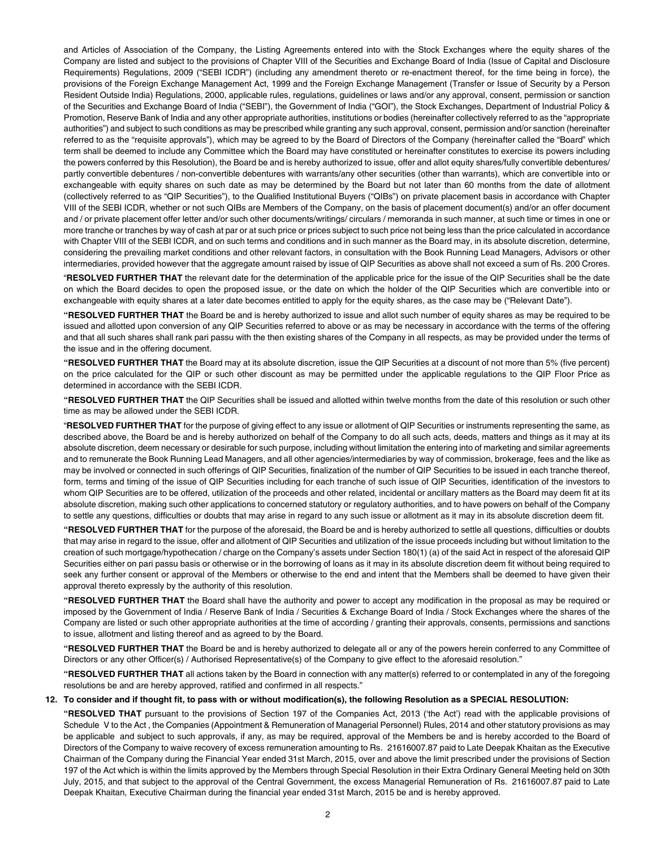and Articles of Association of the Company, the Listing Agreements entered into with the Stock Exchanges where the equity shares of the Company are listed and subject to the provisions of Chapter VIII of the Securities and Exchange Board of India (Issue of Capital and Disclosure Requirements) Regulations, 2009 ("SEBI ICDR") (including any amendment thereto or re-enactment thereof, for the time being in force), the provisions of the Foreign Exchange Management Act, 1999 and the Foreign Exchange Management (Transfer or Issue of Security by a Person Resident Outside India) Regulations, 2000, applicable rules, regulations, guidelines or laws and/or any approval, consent, permission or sanction of the Securities and Exchange Board of India ("SEBI"), the Government of India ("GOI"), the Stock Exchanges, Department of Industrial Policy & Promotion, Reserve Bank of India and any other appropriate authorities, institutions or bodies (hereinafter collectively referred to as the "appropriate authorities") and subject to such conditions as may be prescribed while granting any such approval, consent, permission and/or sanction (hereinafter referred to as the "requisite approvals"), which may be agreed to by the Board of Directors of the Company (hereinafter called the "Board" which term shall be deemed to include any Committee which the Board may have constituted or hereinafter constitutes to exercise its powers including the powers conferred by this Resolution), the Board be and is hereby authorized to issue, offer and allot equity shares/fully convertible debentures/ partly convertible debentures / non-convertible debentures with warrants/any other securities (other than warrants), which are convertible into or exchangeable with equity shares on such date as may be determined by the Board but not later than 60 months from the date of allotment (collectively referred to as "QIP Securities"), to the Qualified Institutional Buyers ("QIBs") on private placement basis in accordance with Chapter VIII of the SEBI ICDR, whether or not such QIBs are Members of the Company, on the basis of placement document(s) and/or an offer document and / or private placement offer letter and/or such other documents/writings/ circulars / memoranda in such manner, at such time or times in one or more tranche or tranches by way of cash at par or at such price or prices subject to such price not being less than the price calculated in accordance with Chapter VIII of the SEBI ICDR, and on such terms and conditions and in such manner as the Board may, in its absolute discretion, determine, considering the prevailing market conditions and other relevant factors, in consultation with the Book Running Lead Managers, Advisors or other intermediaries, provided however that the aggregate amount raised by issue of QIP Securities as above shall not exceed a sum of Rs. 200 Crores.

"**RESOLVED FURTHER THAT** the relevant date for the determination of the applicable price for the issue of the QIP Securities shall be the date on which the Board decides to open the proposed issue, or the date on which the holder of the QIP Securities which are convertible into or exchangeable with equity shares at a later date becomes entitled to apply for the equity shares, as the case may be ("Relevant Date").

**"RESOLVED FURTHER THAT** the Board be and is hereby authorized to issue and allot such number of equity shares as may be required to be issued and allotted upon conversion of any QIP Securities referred to above or as may be necessary in accordance with the terms of the offering and that all such shares shall rank pari passu with the then existing shares of the Company in all respects, as may be provided under the terms of the issue and in the offering document.

**"RESOLVED FURTHER THAT** the Board may at its absolute discretion, issue the QIP Securities at a discount of not more than 5% (five percent) on the price calculated for the QIP or such other discount as may be permitted under the applicable regulations to the QIP Floor Price as determined in accordance with the SEBI ICDR.

**"RESOLVED FURTHER THAT** the QIP Securities shall be issued and allotted within twelve months from the date of this resolution or such other time as may be allowed under the SEBI ICDR.

"**RESOLVED FURTHER THAT** for the purpose of giving effect to any issue or allotment of QIP Securities or instruments representing the same, as described above, the Board be and is hereby authorized on behalf of the Company to do all such acts, deeds, matters and things as it may at its absolute discretion, deem necessary or desirable for such purpose, including without limitation the entering into of marketing and similar agreements and to remunerate the Book Running Lead Managers, and all other agencies/intermediaries by way of commission, brokerage, fees and the like as may be involved or connected in such offerings of QIP Securities, finalization of the number of QIP Securities to be issued in each tranche thereof, form, terms and timing of the issue of QIP Securities including for each tranche of such issue of QIP Securities, identification of the investors to whom QIP Securities are to be offered, utilization of the proceeds and other related, incidental or ancillary matters as the Board may deem fit at its absolute discretion, making such other applications to concerned statutory or regulatory authorities, and to have powers on behalf of the Company to settle any questions, difficulties or doubts that may arise in regard to any such issue or allotment as it may in its absolute discretion deem fit.

**"RESOLVED FURTHER THAT** for the purpose of the aforesaid, the Board be and is hereby authorized to settle all questions, difficulties or doubts that may arise in regard to the issue, offer and allotment of QIP Securities and utilization of the issue proceeds including but without limitation to the creation of such mortgage/hypothecation / charge on the Company's assets under Section 180(1) (a) of the said Act in respect of the aforesaid QIP Securities either on pari passu basis or otherwise or in the borrowing of loans as it may in its absolute discretion deem fit without being required to seek any further consent or approval of the Members or otherwise to the end and intent that the Members shall be deemed to have given their approval thereto expressly by the authority of this resolution.

**"RESOLVED FURTHER THAT** the Board shall have the authority and power to accept any modification in the proposal as may be required or imposed by the Government of India / Reserve Bank of India / Securities & Exchange Board of India / Stock Exchanges where the shares of the Company are listed or such other appropriate authorities at the time of according / granting their approvals, consents, permissions and sanctions to issue, allotment and listing thereof and as agreed to by the Board.

**"RESOLVED FURTHER THAT** the Board be and is hereby authorized to delegate all or any of the powers herein conferred to any Committee of Directors or any other Officer(s) / Authorised Representative(s) of the Company to give effect to the aforesaid resolution."

**"RESOLVED FURTHER THAT** all actions taken by the Board in connection with any matter(s) referred to or contemplated in any of the foregoing resolutions be and are hereby approved, ratified and confirmed in all respects."

# **12. To consider and if thought fit, to pass with or without modification(s), the following Resolution as a SPECIAL RESOLUTION:**

**"RESOLVED THAT** pursuant to the provisions of Section 197 of the Companies Act, 2013 ('the Act') read with the applicable provisions of Schedule V to the Act , the Companies (Appointment & Remuneration of Managerial Personnel) Rules, 2014 and other statutory provisions as may be applicable and subject to such approvals, if any, as may be required, approval of the Members be and is hereby accorded to the Board of Directors of the Company to waive recovery of excess remuneration amounting to Rs. 21616007.87 paid to Late Deepak Khaitan as the Executive Chairman of the Company during the Financial Year ended 31st March, 2015, over and above the limit prescribed under the provisions of Section 197 of the Act which is within the limits approved by the Members through Special Resolution in their Extra Ordinary General Meeting held on 30th July, 2015, and that subject to the approval of the Central Government, the excess Managerial Remuneration of Rs. 21616007.87 paid to Late Deepak Khaitan, Executive Chairman during the financial year ended 31st March, 2015 be and is hereby approved.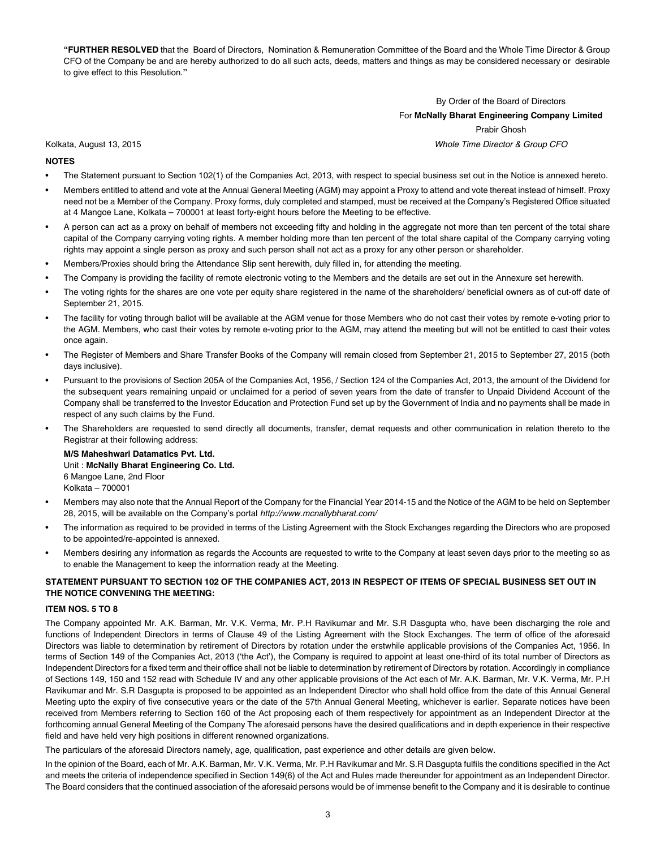**"FURTHER RESOLVED** that the Board of Directors, Nomination & Remuneration Committee of the Board and the Whole Time Director & Group CFO of the Company be and are hereby authorized to do all such acts, deeds, matters and things as may be considered necessary or desirable to give effect to this Resolution.**"**

# By Order of the Board of Directors For **McNally Bharat Engineering Company Limited** Prabir Ghosh

Kolkata, August 13, 2015 *Whole Time Director & Group CFO*

- **NOTES**
- The Statement pursuant to Section 102(1) of the Companies Act, 2013, with respect to special business set out in the Notice is annexed hereto.
- Members entitled to attend and vote at the Annual General Meeting (AGM) may appoint a Proxy to attend and vote thereat instead of himself. Proxy need not be a Member of the Company. Proxy forms, duly completed and stamped, must be received at the Company's Registered Office situated at 4 Mangoe Lane, Kolkata – 700001 at least forty-eight hours before the Meeting to be effective.
- A person can act as a proxy on behalf of members not exceeding fifty and holding in the aggregate not more than ten percent of the total share capital of the Company carrying voting rights. A member holding more than ten percent of the total share capital of the Company carrying voting rights may appoint a single person as proxy and such person shall not act as a proxy for any other person or shareholder.
- Members/Proxies should bring the Attendance Slip sent herewith, duly filled in, for attending the meeting.
- The Company is providing the facility of remote electronic voting to the Members and the details are set out in the Annexure set herewith.
- The voting rights for the shares are one vote per equity share registered in the name of the shareholders/ beneficial owners as of cut-off date of September 21, 2015.
- The facility for voting through ballot will be available at the AGM venue for those Members who do not cast their votes by remote e-voting prior to the AGM. Members, who cast their votes by remote e-voting prior to the AGM, may attend the meeting but will not be entitled to cast their votes once again.
- The Register of Members and Share Transfer Books of the Company will remain closed from September 21, 2015 to September 27, 2015 (both days inclusive).
- Pursuant to the provisions of Section 205A of the Companies Act, 1956, / Section 124 of the Companies Act, 2013, the amount of the Dividend for the subsequent years remaining unpaid or unclaimed for a period of seven years from the date of transfer to Unpaid Dividend Account of the Company shall be transferred to the Investor Education and Protection Fund set up by the Government of India and no payments shall be made in respect of any such claims by the Fund.
- The Shareholders are requested to send directly all documents, transfer, demat requests and other communication in relation thereto to the Registrar at their following address:

**M/S Maheshwari Datamatics Pvt. Ltd.** Unit : **McNally Bharat Engineering Co. Ltd.** 6 Mangoe Lane, 2nd Floor Kolkata – 700001

- Members may also note that the Annual Report of the Company for the Financial Year 2014-15 and the Notice of the AGM to be held on September 28, 2015, will be available on the Company's portal *http://www.mcnallybharat.com/*
- The information as required to be provided in terms of the Listing Agreement with the Stock Exchanges regarding the Directors who are proposed to be appointed/re-appointed is annexed.
- Members desiring any information as regards the Accounts are requested to write to the Company at least seven days prior to the meeting so as to enable the Management to keep the information ready at the Meeting.

# **STATEMENT PURSUANT TO SECTION 102 OF THE COMPANIES ACT, 2013 IN RESPECT OF ITEMS OF SPECIAL BUSINESS SET OUT IN THE NOTICE CONVENING THE MEETING:**

## **ITEM NOS. 5 TO 8**

The Company appointed Mr. A.K. Barman, Mr. V.K. Verma, Mr. P.H Ravikumar and Mr. S.R Dasgupta who, have been discharging the role and functions of Independent Directors in terms of Clause 49 of the Listing Agreement with the Stock Exchanges. The term of office of the aforesaid Directors was liable to determination by retirement of Directors by rotation under the erstwhile applicable provisions of the Companies Act, 1956. In terms of Section 149 of the Companies Act, 2013 ('the Act'), the Company is required to appoint at least one-third of its total number of Directors as Independent Directors for a fixed term and their office shall not be liable to determination by retirement of Directors by rotation. Accordingly in compliance of Sections 149, 150 and 152 read with Schedule IV and any other applicable provisions of the Act each of Mr. A.K. Barman, Mr. V.K. Verma, Mr. P.H Ravikumar and Mr. S.R Dasgupta is proposed to be appointed as an Independent Director who shall hold office from the date of this Annual General Meeting upto the expiry of five consecutive years or the date of the 57th Annual General Meeting, whichever is earlier. Separate notices have been received from Members referring to Section 160 of the Act proposing each of them respectively for appointment as an Independent Director at the forthcoming annual General Meeting of the Company The aforesaid persons have the desired qualifications and in depth experience in their respective field and have held very high positions in different renowned organizations.

The particulars of the aforesaid Directors namely, age, qualification, past experience and other details are given below.

In the opinion of the Board, each of Mr. A.K. Barman, Mr. V.K. Verma, Mr. P.H Ravikumar and Mr. S.R Dasgupta fulfils the conditions specified in the Act and meets the criteria of independence specified in Section 149(6) of the Act and Rules made thereunder for appointment as an Independent Director. The Board considers that the continued association of the aforesaid persons would be of immense benefit to the Company and it is desirable to continue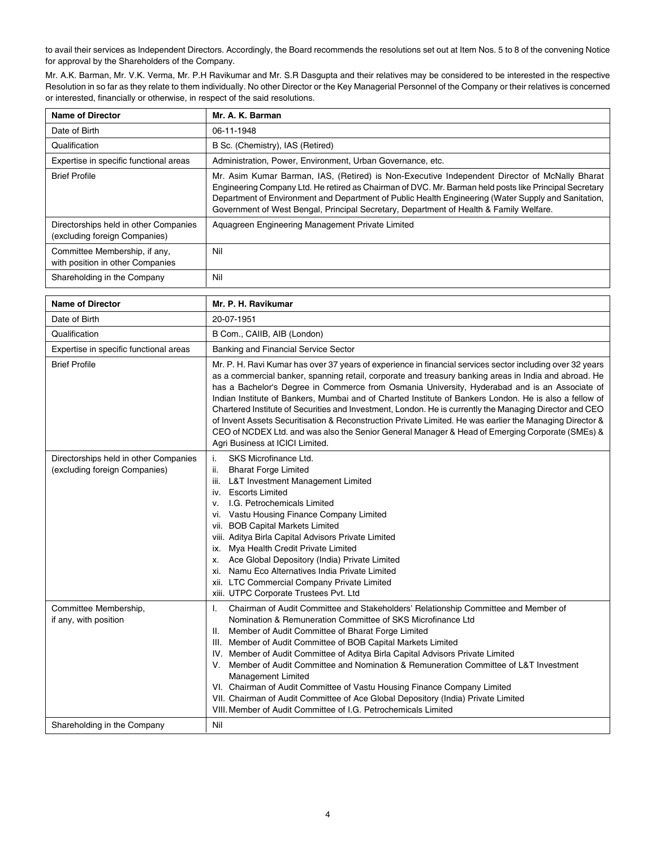to avail their services as Independent Directors. Accordingly, the Board recommends the resolutions set out at Item Nos. 5 to 8 of the convening Notice for approval by the Shareholders of the Company.

Mr. A.K. Barman, Mr. V.K. Verma, Mr. P.H Ravikumar and Mr. S.R Dasgupta and their relatives may be considered to be interested in the respective Resolution in so far as they relate to them individually. No other Director or the Key Managerial Personnel of the Company or their relatives is concerned or interested, financially or otherwise, in respect of the said resolutions.

| <b>Name of Director</b>                                                | Mr. A. K. Barman                                                                                                                                                                                                                                                                                                                                                                                         |  |  |  |  |
|------------------------------------------------------------------------|----------------------------------------------------------------------------------------------------------------------------------------------------------------------------------------------------------------------------------------------------------------------------------------------------------------------------------------------------------------------------------------------------------|--|--|--|--|
| Date of Birth                                                          | 06 11 1948                                                                                                                                                                                                                                                                                                                                                                                               |  |  |  |  |
| Qualification                                                          | B Sc. (Chemistry), IAS (Retired)                                                                                                                                                                                                                                                                                                                                                                         |  |  |  |  |
| Expertise in specific functional areas                                 | Administration, Power, Environment, Urban Governance, etc.                                                                                                                                                                                                                                                                                                                                               |  |  |  |  |
| <b>Brief Profile</b>                                                   | Mr. Asim Kumar Barman, IAS, (Retired) is Non-Executive Independent Director of McNally Bharat<br>Engineering Company Ltd. He retired as Chairman of DVC. Mr. Barman held posts like Principal Secretary<br>Department of Environment and Department of Public Health Engineering (Water Supply and Sanitation,<br>Government of West Bengal, Principal Secretary, Department of Health & Family Welfare. |  |  |  |  |
| Directorships held in other Companies<br>(excluding foreign Companies) | Aquagreen Engineering Management Private Limited                                                                                                                                                                                                                                                                                                                                                         |  |  |  |  |
| Committee Membership, if any,<br>with position in other Companies      | Nil                                                                                                                                                                                                                                                                                                                                                                                                      |  |  |  |  |
| Shareholding in the Company                                            | Nil                                                                                                                                                                                                                                                                                                                                                                                                      |  |  |  |  |

| <b>Name of Director</b>                                                | Mr. P. H. Ravikumar                                                                                                                                                                                                                                                                                                                                                                                                                                                                                                                                                                                                                                                                                                                                                                        |  |  |  |  |
|------------------------------------------------------------------------|--------------------------------------------------------------------------------------------------------------------------------------------------------------------------------------------------------------------------------------------------------------------------------------------------------------------------------------------------------------------------------------------------------------------------------------------------------------------------------------------------------------------------------------------------------------------------------------------------------------------------------------------------------------------------------------------------------------------------------------------------------------------------------------------|--|--|--|--|
| Date of Birth                                                          | 20-07-1951                                                                                                                                                                                                                                                                                                                                                                                                                                                                                                                                                                                                                                                                                                                                                                                 |  |  |  |  |
| Qualification                                                          | B Com., CAIIB, AIB (London)                                                                                                                                                                                                                                                                                                                                                                                                                                                                                                                                                                                                                                                                                                                                                                |  |  |  |  |
| Expertise in specific functional areas                                 | Banking and Financial Service Sector                                                                                                                                                                                                                                                                                                                                                                                                                                                                                                                                                                                                                                                                                                                                                       |  |  |  |  |
| <b>Brief Profile</b>                                                   | Mr. P. H. Ravi Kumar has over 37 years of experience in financial services sector including over 32 years<br>as a commercial banker, spanning retail, corporate and treasury banking areas in India and abroad. He<br>has a Bachelor's Degree in Commerce from Osmania University, Hyderabad and is an Associate of<br>Indian Institute of Bankers, Mumbai and of Charted Institute of Bankers London. He is also a fellow of<br>Chartered Institute of Securities and Investment, London. He is currently the Managing Director and CEO<br>of Invent Assets Securitisation & Reconstruction Private Limited. He was earlier the Managing Director &<br>CEO of NCDEX Ltd. and was also the Senior General Manager & Head of Emerging Corporate (SMEs) &<br>Agri Business at ICICI Limited. |  |  |  |  |
| Directorships held in other Companies<br>(excluding foreign Companies) | i.<br>SKS Microfinance Ltd.<br>ii.<br><b>Bharat Forge Limited</b><br>L&T Investment Management Limited<br>iii.<br>iv. Escorts Limited<br>I.G. Petrochemicals Limited<br>v.<br>vi. Vastu Housing Finance Company Limited<br>vii. BOB Capital Markets Limited<br>viii. Aditya Birla Capital Advisors Private Limited<br>Mya Health Credit Private Limited<br>ix.<br>Ace Global Depository (India) Private Limited<br>x.<br>Namu Eco Alternatives India Private Limited<br>XI.<br>xii. LTC Commercial Company Private Limited<br>xiii. UTPC Corporate Trustees Pvt. Ltd                                                                                                                                                                                                                       |  |  |  |  |
| Committee Membership,<br>if any, with position                         | Chairman of Audit Committee and Stakeholders' Relationship Committee and Member of<br>I.<br>Nomination & Remuneration Committee of SKS Microfinance Ltd<br>Member of Audit Committee of Bharat Forge Limited<br>Ш.<br>III. Member of Audit Committee of BOB Capital Markets Limited<br>IV. Member of Audit Committee of Aditya Birla Capital Advisors Private Limited<br>Member of Audit Committee and Nomination & Remuneration Committee of L&T Investment<br>V.<br>Management Limited<br>VI. Chairman of Audit Committee of Vastu Housing Finance Company Limited<br>VII. Chairman of Audit Committee of Ace Global Depository (India) Private Limited<br>VIII. Member of Audit Committee of I.G. Petrochemicals Limited                                                                |  |  |  |  |
| Shareholding in the Company                                            | Nil                                                                                                                                                                                                                                                                                                                                                                                                                                                                                                                                                                                                                                                                                                                                                                                        |  |  |  |  |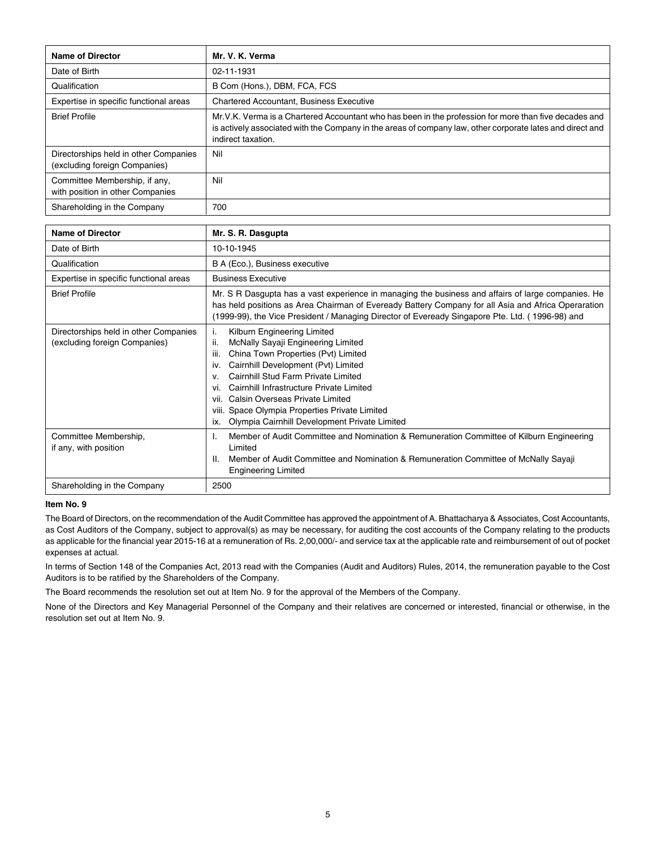| <b>Name of Director</b>                                                | Mr. V. K. Verma                                                                                                                                                                                                                          |  |  |  |  |
|------------------------------------------------------------------------|------------------------------------------------------------------------------------------------------------------------------------------------------------------------------------------------------------------------------------------|--|--|--|--|
| Date of Birth                                                          | 02-11-1931                                                                                                                                                                                                                               |  |  |  |  |
| Qualification                                                          | B Com (Hons.), DBM, FCA, FCS                                                                                                                                                                                                             |  |  |  |  |
| Expertise in specific functional areas                                 | <b>Chartered Accountant, Business Executive</b>                                                                                                                                                                                          |  |  |  |  |
| <b>Brief Profile</b>                                                   | Mr.V.K. Verma is a Chartered Accountant who has been in the profession for more than five decades and<br>is actively associated with the Company in the areas of company law, other corporate lates and direct and<br>indirect taxation. |  |  |  |  |
| Directorships held in other Companies<br>(excluding foreign Companies) | Nil                                                                                                                                                                                                                                      |  |  |  |  |
| Committee Membership, if any,<br>with position in other Companies      | Nil                                                                                                                                                                                                                                      |  |  |  |  |
| Shareholding in the Company                                            | 700                                                                                                                                                                                                                                      |  |  |  |  |

| <b>Name of Director</b>                                                | Mr. S. R. Dasgupta                                                                                                                                                                                                                                                                                                                                                                                                               |  |  |  |  |
|------------------------------------------------------------------------|----------------------------------------------------------------------------------------------------------------------------------------------------------------------------------------------------------------------------------------------------------------------------------------------------------------------------------------------------------------------------------------------------------------------------------|--|--|--|--|
| Date of Birth                                                          | 10-10-1945                                                                                                                                                                                                                                                                                                                                                                                                                       |  |  |  |  |
| Qualification                                                          | B A (Eco.), Business executive                                                                                                                                                                                                                                                                                                                                                                                                   |  |  |  |  |
| Expertise in specific functional areas                                 | <b>Business Executive</b>                                                                                                                                                                                                                                                                                                                                                                                                        |  |  |  |  |
| <b>Brief Profile</b>                                                   | Mr. S R Dasgupta has a vast experience in managing the business and affairs of large companies. He<br>has held positions as Area Chairman of Eveready Battery Company for all Asia and Africa Operaration<br>(1999-99), the Vice President / Managing Director of Eveready Singapore Pte. Ltd. (1996-98) and                                                                                                                     |  |  |  |  |
| Directorships held in other Companies<br>(excluding foreign Companies) | Kilburn Engineering Limited<br>i.<br>ii.<br>McNally Sayaji Engineering Limited<br>China Town Properties (Pvt) Limited<br>iii.<br>Cairnhill Development (Pvt) Limited<br>iv.<br>Cairnhill Stud Farm Private Limited<br>V.<br>Cairnhill Infrastructure Private Limited<br>vi.<br>Calsin Overseas Private Limited<br>VII.<br>viii. Space Olympia Properties Private Limited<br>Olympia Cairnhill Development Private Limited<br>ix. |  |  |  |  |
| Committee Membership,<br>if any, with position                         | Member of Audit Committee and Nomination & Remuneration Committee of Kilburn Engineering<br>Limited<br>Member of Audit Committee and Nomination & Remuneration Committee of McNally Sayaji<br>Ш.<br><b>Engineering Limited</b>                                                                                                                                                                                                   |  |  |  |  |
| Shareholding in the Company                                            | 2500                                                                                                                                                                                                                                                                                                                                                                                                                             |  |  |  |  |

## **Item No. 9**

The Board of Directors, on the recommendation of the Audit Committee has approved the appointment of A. Bhattacharya & Associates, Cost Accountants, as Cost Auditors of the Company, subject to approval(s) as may be necessary, for auditing the cost accounts of the Company relating to the products as applicable for the financial year 2015-16 at a remuneration of Rs. 2,00,000/- and service tax at the applicable rate and reimbursement of out of pocket expenses at actual.

In terms of Section 148 of the Companies Act, 2013 read with the Companies (Audit and Auditors) Rules, 2014, the remuneration payable to the Cost Auditors is to be ratified by the Shareholders of the Company.

The Board recommends the resolution set out at Item No. 9 for the approval of the Members of the Company.

None of the Directors and Key Managerial Personnel of the Company and their relatives are concerned or interested, financial or otherwise, in the resolution set out at Item No. 9.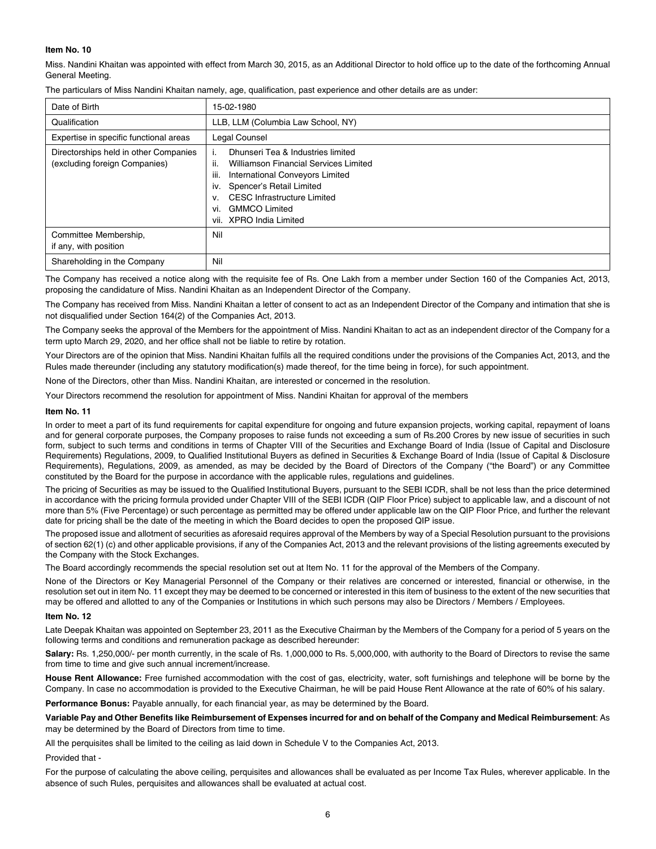# **Item No. 10**

Miss. Nandini Khaitan was appointed with effect from March 30, 2015, as an Additional Director to hold office up to the date of the forthcoming Annual General Meeting.

| Date of Birth                                                          | 15-02-1980                                                                                                                                                                                                                                                                                 |  |  |
|------------------------------------------------------------------------|--------------------------------------------------------------------------------------------------------------------------------------------------------------------------------------------------------------------------------------------------------------------------------------------|--|--|
| Qualification                                                          | LLB, LLM (Columbia Law School, NY)                                                                                                                                                                                                                                                         |  |  |
| Expertise in specific functional areas                                 | Legal Counsel                                                                                                                                                                                                                                                                              |  |  |
| Directorships held in other Companies<br>(excluding foreign Companies) | Dhunseri Tea & Industries limited<br>Τ.<br><br>Williamson Financial Services Limited<br>Ш.<br>iii.<br>International Conveyors Limited<br>Spencer's Retail Limited<br>iv.<br><b>CESC</b> Infrastructure Limited<br>$V_{\cdot}$<br><b>GMMCO Limited</b><br>vi.<br>XPRO India Limited<br>VII. |  |  |
| Committee Membership,<br>if any, with position                         | Nil                                                                                                                                                                                                                                                                                        |  |  |
| Shareholding in the Company                                            | Nil                                                                                                                                                                                                                                                                                        |  |  |

The particulars of Miss Nandini Khaitan namely, age, qualification, past experience and other details are as under:

The Company has received a notice along with the requisite fee of Rs. One Lakh from a member under Section 160 of the Companies Act, 2013, proposing the candidature of Miss. Nandini Khaitan as an Independent Director of the Company.

The Company has received from Miss. Nandini Khaitan a letter of consent to act as an Independent Director of the Company and intimation that she is not disqualified under Section 164(2) of the Companies Act, 2013.

The Company seeks the approval of the Members for the appointment of Miss. Nandini Khaitan to act as an independent director of the Company for a term upto March 29, 2020, and her office shall not be liable to retire by rotation.

Your Directors are of the opinion that Miss. Nandini Khaitan fulfils all the required conditions under the provisions of the Companies Act, 2013, and the Rules made thereunder (including any statutory modification(s) made thereof, for the time being in force), for such appointment.

None of the Directors, other than Miss. Nandini Khaitan, are interested or concerned in the resolution.

Your Directors recommend the resolution for appointment of Miss. Nandini Khaitan for approval of the members

#### **Item No. 11**

In order to meet a part of its fund requirements for capital expenditure for ongoing and future expansion projects, working capital, repayment of loans and for general corporate purposes, the Company proposes to raise funds not exceeding a sum of Rs.200 Crores by new issue of securities in such form, subject to such terms and conditions in terms of Chapter VIII of the Securities and Exchange Board of India (Issue of Capital and Disclosure Requirements) Regulations, 2009, to Qualified Institutional Buyers as defined in Securities & Exchange Board of India (Issue of Capital & Disclosure Requirements), Regulations, 2009, as amended, as may be decided by the Board of Directors of the Company ("the Board") or any Committee constituted by the Board for the purpose in accordance with the applicable rules, regulations and guidelines.

The pricing of Securities as may be issued to the Qualified Institutional Buyers, pursuant to the SEBI ICDR, shall be not less than the price determined in accordance with the pricing formula provided under Chapter VIII of the SEBI ICDR (QIP Floor Price) subject to applicable law, and a discount of not more than 5% (Five Percentage) or such percentage as permitted may be offered under applicable law on the QIP Floor Price, and further the relevant date for pricing shall be the date of the meeting in which the Board decides to open the proposed QIP issue.

The proposed issue and allotment of securities as aforesaid requires approval of the Members by way of a Special Resolution pursuant to the provisions of section 62(1) (c) and other applicable provisions, if any of the Companies Act, 2013 and the relevant provisions of the listing agreements executed by the Company with the Stock Exchanges.

The Board accordingly recommends the special resolution set out at Item No. 11 for the approval of the Members of the Company.

None of the Directors or Key Managerial Personnel of the Company or their relatives are concerned or interested, financial or otherwise, in the resolution set out in item No. 11 except they may be deemed to be concerned or interested in this item of business to the extent of the new securities that may be offered and allotted to any of the Companies or Institutions in which such persons may also be Directors / Members / Employees.

#### **Item No. 12**

Late Deepak Khaitan was appointed on September 23, 2011 as the Executive Chairman by the Members of the Company for a period of 5 years on the following terms and conditions and remuneration package as described hereunder:

Salary: Rs. 1,250,000/- per month currently, in the scale of Rs. 1,000,000 to Rs. 5,000,000, with authority to the Board of Directors to revise the same from time to time and give such annual increment/increase.

**House Rent Allowance:** Free furnished accommodation with the cost of gas, electricity, water, soft furnishings and telephone will be borne by the Company. In case no accommodation is provided to the Executive Chairman, he will be paid House Rent Allowance at the rate of 60% of his salary.

**Performance Bonus:** Payable annually, for each financial year, as may be determined by the Board.

**Variable Pay and Other Benefits like Reimbursement of Expenses incurred for and on behalf of the Company and Medical Reimbursement**: As may be determined by the Board of Directors from time to time.

All the perquisites shall be limited to the ceiling as laid down in Schedule V to the Companies Act, 2013.

#### Provided that -

For the purpose of calculating the above ceiling, perquisites and allowances shall be evaluated as per Income Tax Rules, wherever applicable. In the absence of such Rules, perquisites and allowances shall be evaluated at actual cost.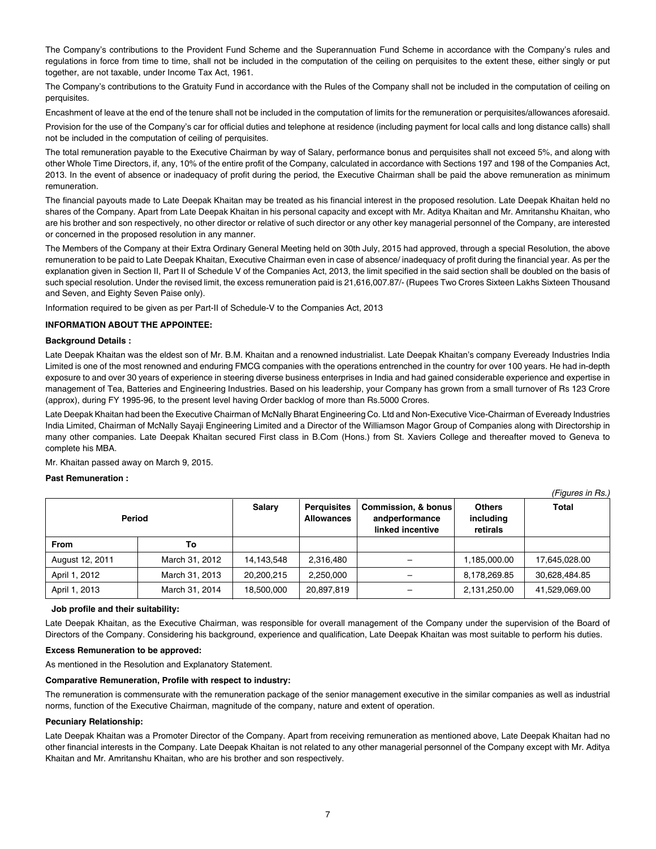The Company's contributions to the Provident Fund Scheme and the Superannuation Fund Scheme in accordance with the Company's rules and regulations in force from time to time, shall not be included in the computation of the ceiling on perquisites to the extent these, either singly or put together, are not taxable, under Income Tax Act, 1961.

The Company's contributions to the Gratuity Fund in accordance with the Rules of the Company shall not be included in the computation of ceiling on perquisites.

Encashment of leave at the end of the tenure shall not be included in the computation of limits for the remuneration or perquisites/allowances aforesaid.

Provision for the use of the Company's car for official duties and telephone at residence (including payment for local calls and long distance calls) shall not be included in the computation of ceiling of perquisites.

The total remuneration payable to the Executive Chairman by way of Salary, performance bonus and perquisites shall not exceed 5%, and along with other Whole Time Directors, if, any, 10% of the entire profit of the Company, calculated in accordance with Sections 197 and 198 of the Companies Act, 2013. In the event of absence or inadequacy of profit during the period, the Executive Chairman shall be paid the above remuneration as minimum remuneration.

The financial payouts made to Late Deepak Khaitan may be treated as his financial interest in the proposed resolution. Late Deepak Khaitan held no shares of the Company. Apart from Late Deepak Khaitan in his personal capacity and except with Mr. Aditya Khaitan and Mr. Amritanshu Khaitan, who are his brother and son respectively, no other director or relative of such director or any other key managerial personnel of the Company, are interested or concerned in the proposed resolution in any manner.

The Members of the Company at their Extra Ordinary General Meeting held on 30th July, 2015 had approved, through a special Resolution, the above remuneration to be paid to Late Deepak Khaitan, Executive Chairman even in case of absence/ inadequacy of profit during the financial year. As per the explanation given in Section II, Part II of Schedule V of the Companies Act, 2013, the limit specified in the said section shall be doubled on the basis of such special resolution. Under the revised limit, the excess remuneration paid is 21,616,007.87/- (Rupees Two Crores Sixteen Lakhs Sixteen Thousand and Seven, and Eighty Seven Paise only).

Information required to be given as per Part-II of Schedule-V to the Companies Act, 2013

## **INFORMATION ABOUT THE APPOINTEE:**

## **Background Details :**

Late Deepak Khaitan was the eldest son of Mr. B.M. Khaitan and a renowned industrialist. Late Deepak Khaitan's company Eveready Industries India Limited is one of the most renowned and enduring FMCG companies with the operations entrenched in the country for over 100 years. He had in-depth exposure to and over 30 years of experience in steering diverse business enterprises in India and had gained considerable experience and expertise in management of Tea, Batteries and Engineering Industries. Based on his leadership, your Company has grown from a small turnover of Rs 123 Crore (approx), during FY 1995-96, to the present level having Order backlog of more than Rs.5000 Crores.

Late Deepak Khaitan had been the Executive Chairman of McNally Bharat Engineering Co. Ltd and Non-Executive Vice-Chairman of Eveready Industries India Limited, Chairman of McNally Sayaji Engineering Limited and a Director of the Williamson Magor Group of Companies along with Directorship in many other companies. Late Deepak Khaitan secured First class in B.Com (Hons.) from St. Xaviers College and thereafter moved to Geneva to complete his MBA.

*(Figures in Rs.)*

Mr. Khaitan passed away on March 9, 2015.

#### **Past Remuneration :**

| Period          |                | <b>Salary</b> | <b>Perquisites</b><br><b>Allowances</b> | Commission, & bonus<br>andperformance<br>linked incentive | <b>Others</b><br>including<br>retirals | Total         |
|-----------------|----------------|---------------|-----------------------------------------|-----------------------------------------------------------|----------------------------------------|---------------|
| <b>From</b>     | To             |               |                                         |                                                           |                                        |               |
| August 12, 2011 | March 31, 2012 | 14,143,548    | 2,316,480                               |                                                           | 1,185,000.00                           | 17,645,028.00 |
| April 1, 2012   | March 31, 2013 | 20.200.215    | 2.250.000                               |                                                           | 8,178,269.85                           | 30.628.484.85 |
| April 1, 2013   | March 31, 2014 | 18.500.000    | 20.897.819                              |                                                           | 2,131,250.00                           | 41,529,069.00 |

#### **Job profile and their suitability:**

Late Deepak Khaitan, as the Executive Chairman, was responsible for overall management of the Company under the supervision of the Board of Directors of the Company. Considering his background, experience and qualification, Late Deepak Khaitan was most suitable to perform his duties.

#### **Excess Remuneration to be approved:**

As mentioned in the Resolution and Explanatory Statement.

#### **Comparative Remuneration, Profile with respect to industry:**

The remuneration is commensurate with the remuneration package of the senior management executive in the similar companies as well as industrial norms, function of the Executive Chairman, magnitude of the company, nature and extent of operation.

#### **Pecuniary Relationship:**

Late Deepak Khaitan was a Promoter Director of the Company. Apart from receiving remuneration as mentioned above, Late Deepak Khaitan had no other financial interests in the Company. Late Deepak Khaitan is not related to any other managerial personnel of the Company except with Mr. Aditya Khaitan and Mr. Amritanshu Khaitan, who are his brother and son respectively.